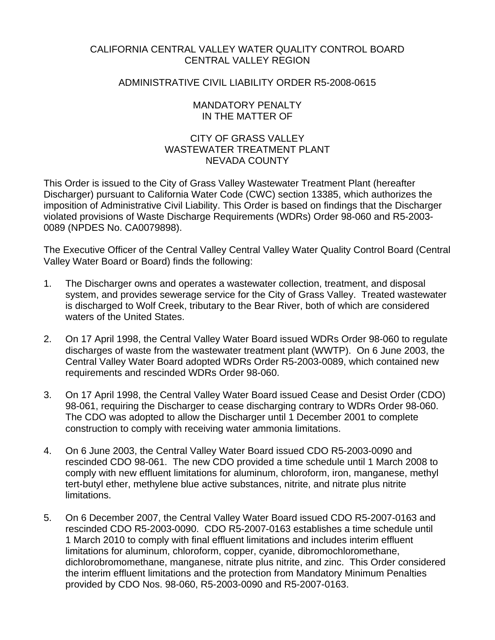## CALIFORNIA CENTRAL VALLEY WATER QUALITY CONTROL BOARD CENTRAL VALLEY REGION

## ADMINISTRATIVE CIVIL LIABILITY ORDER R5-2008-0615

## MANDATORY PENALTY IN THE MATTER OF

## CITY OF GRASS VALLEY WASTEWATER TREATMENT PI ANT NEVADA COUNTY

This Order is issued to the City of Grass Valley Wastewater Treatment Plant (hereafter Discharger) pursuant to California Water Code (CWC) section 13385, which authorizes the imposition of Administrative Civil Liability. This Order is based on findings that the Discharger violated provisions of Waste Discharge Requirements (WDRs) Order 98-060 and R5-2003- 0089 (NPDES No. CA0079898).

The Executive Officer of the Central Valley Central Valley Water Quality Control Board (Central Valley Water Board or Board) finds the following:

- 1. The Discharger owns and operates a wastewater collection, treatment, and disposal system, and provides sewerage service for the City of Grass Valley. Treated wastewater is discharged to Wolf Creek, tributary to the Bear River, both of which are considered waters of the United States.
- 2. On 17 April 1998, the Central Valley Water Board issued WDRs Order 98-060 to regulate discharges of waste from the wastewater treatment plant (WWTP). On 6 June 2003, the Central Valley Water Board adopted WDRs Order R5-2003-0089, which contained new requirements and rescinded WDRs Order 98-060.
- 3. On 17 April 1998, the Central Valley Water Board issued Cease and Desist Order (CDO) 98-061, requiring the Discharger to cease discharging contrary to WDRs Order 98-060. The CDO was adopted to allow the Discharger until 1 December 2001 to complete construction to comply with receiving water ammonia limitations.
- 4. On 6 June 2003, the Central Valley Water Board issued CDO R5-2003-0090 and rescinded CDO 98-061. The new CDO provided a time schedule until 1 March 2008 to comply with new effluent limitations for aluminum, chloroform, iron, manganese, methyl tert-butyl ether, methylene blue active substances, nitrite, and nitrate plus nitrite limitations.
- 5. On 6 December 2007, the Central Valley Water Board issued CDO R5-2007-0163 and rescinded CDO R5-2003-0090. CDO R5-2007-0163 establishes a time schedule until 1 March 2010 to comply with final effluent limitations and includes interim effluent limitations for aluminum, chloroform, copper, cyanide, dibromochloromethane, dichlorobromomethane, manganese, nitrate plus nitrite, and zinc. This Order considered the interim effluent limitations and the protection from Mandatory Minimum Penalties provided by CDO Nos. 98-060, R5-2003-0090 and R5-2007-0163.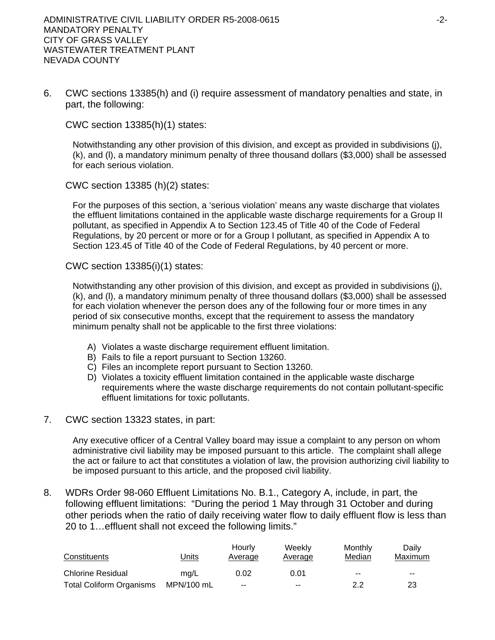6. CWC sections 13385(h) and (i) require assessment of mandatory penalties and state, in part, the following:

CWC section 13385(h)(1) states:

Notwithstanding any other provision of this division, and except as provided in subdivisions (j), (k), and (l), a mandatory minimum penalty of three thousand dollars (\$3,000) shall be assessed for each serious violation.

CWC section 13385 (h)(2) states:

For the purposes of this section, a 'serious violation' means any waste discharge that violates the effluent limitations contained in the applicable waste discharge requirements for a Group II pollutant, as specified in Appendix A to Section 123.45 of Title 40 of the Code of Federal Regulations, by 20 percent or more or for a Group I pollutant, as specified in Appendix A to Section 123.45 of Title 40 of the Code of Federal Regulations, by 40 percent or more.

CWC section 13385(i)(1) states:

Notwithstanding any other provision of this division, and except as provided in subdivisions (j), (k), and (l), a mandatory minimum penalty of three thousand dollars (\$3,000) shall be assessed for each violation whenever the person does any of the following four or more times in any period of six consecutive months, except that the requirement to assess the mandatory minimum penalty shall not be applicable to the first three violations:

- A) Violates a waste discharge requirement effluent limitation.
- B) Fails to file a report pursuant to Section 13260.
- C) Files an incomplete report pursuant to Section 13260.
- D) Violates a toxicity effluent limitation contained in the applicable waste discharge requirements where the waste discharge requirements do not contain pollutant-specific effluent limitations for toxic pollutants.
- 7. CWC section 13323 states, in part:

Any executive officer of a Central Valley board may issue a complaint to any person on whom administrative civil liability may be imposed pursuant to this article. The complaint shall allege the act or failure to act that constitutes a violation of law, the provision authorizing civil liability to be imposed pursuant to this article, and the proposed civil liability.

8. WDRs Order 98-060 Effluent Limitations No. B.1., Category A, include, in part, the following effluent limitations: "During the period 1 May through 31 October and during other periods when the ratio of daily receiving water flow to daily effluent flow is less than 20 to 1…effluent shall not exceed the following limits."

| Constituents                    | <u>Units</u> | Hourly<br>Average | Weekly<br>Average | Monthly<br>Median | Dailv<br>Maximum |
|---------------------------------|--------------|-------------------|-------------------|-------------------|------------------|
| <b>Chlorine Residual</b>        | ma/L         | 0.02              | 0.01              | $- -$             | $- -$            |
| <b>Total Coliform Organisms</b> | MPN/100 mL   | $-$               | $-$               | 2.2               | 23               |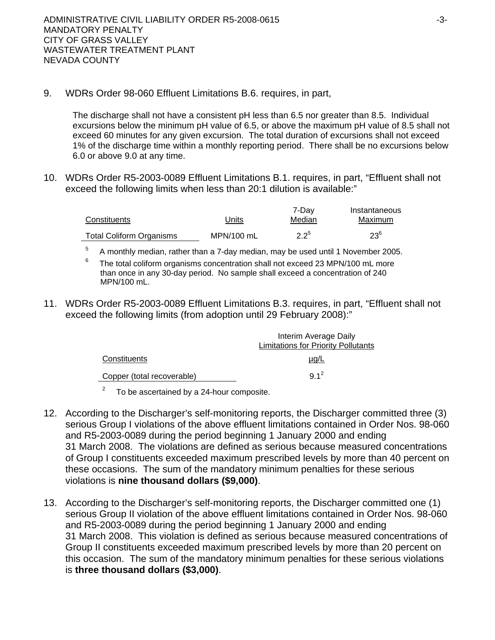9. WDRs Order 98-060 Effluent Limitations B.6. requires, in part,

The discharge shall not have a consistent pH less than 6.5 nor greater than 8.5. Individual excursions below the minimum pH value of 6.5, or above the maximum pH value of 8.5 shall not exceed 60 minutes for any given excursion. The total duration of excursions shall not exceed 1% of the discharge time within a monthly reporting period. There shall be no excursions below 6.0 or above 9.0 at any time.

10. WDRs Order R5-2003-0089 Effluent Limitations B.1. requires, in part, "Effluent shall not exceed the following limits when less than 20:1 dilution is available:"

| Constituents                    | Units      | 7-Dav<br>Median | Instantaneous<br>Maximum |
|---------------------------------|------------|-----------------|--------------------------|
| <b>Total Coliform Organisms</b> | MPN/100 mL | $2.2^{5}$       | $23^{6}$                 |

5 A monthly median, rather than a 7-day median, may be used until 1 November 2005.

- 6 The total coliform organisms concentration shall not exceed 23 MPN/100 mL more than once in any 30-day period. No sample shall exceed a concentration of 240 MPN/100 mL.
- 11. WDRs Order R5-2003-0089 Effluent Limitations B.3. requires, in part, "Effluent shall not exceed the following limits (from adoption until 29 February 2008):"

|                            | Interim Average Daily                      |  |
|----------------------------|--------------------------------------------|--|
|                            | <b>Limitations for Priority Pollutants</b> |  |
| Constituents               | $\mu$ g/L                                  |  |
| Copper (total recoverable) | $9.1^2$                                    |  |
|                            |                                            |  |

 $2^2$  To be ascertained by a 24-hour composite.

- 12. According to the Discharger's self-monitoring reports, the Discharger committed three (3) serious Group I violations of the above effluent limitations contained in Order Nos. 98-060 and R5-2003-0089 during the period beginning 1 January 2000 and ending 31 March 2008. The violations are defined as serious because measured concentrations of Group I constituents exceeded maximum prescribed levels by more than 40 percent on these occasions. The sum of the mandatory minimum penalties for these serious violations is **nine thousand dollars (\$9,000)**.
- 13. According to the Discharger's self-monitoring reports, the Discharger committed one (1) serious Group II violation of the above effluent limitations contained in Order Nos. 98-060 and R5-2003-0089 during the period beginning 1 January 2000 and ending 31 March 2008. This violation is defined as serious because measured concentrations of Group II constituents exceeded maximum prescribed levels by more than 20 percent on this occasion. The sum of the mandatory minimum penalties for these serious violations is **three thousand dollars (\$3,000)**.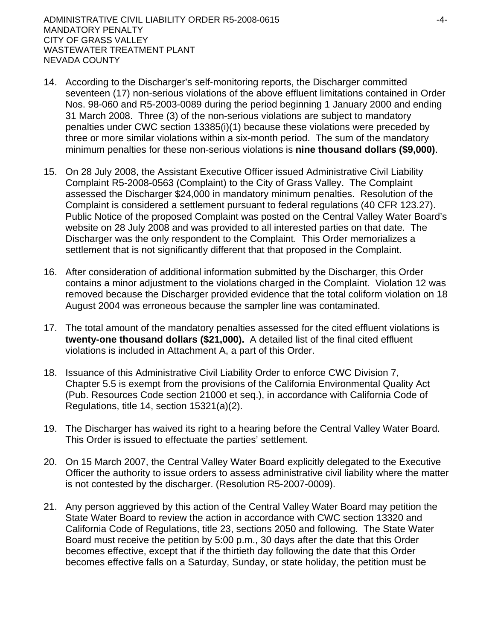- 14. According to the Discharger's self-monitoring reports, the Discharger committed seventeen (17) non-serious violations of the above effluent limitations contained in Order Nos. 98-060 and R5-2003-0089 during the period beginning 1 January 2000 and ending 31 March 2008. Three (3) of the non-serious violations are subject to mandatory penalties under CWC section 13385(i)(1) because these violations were preceded by three or more similar violations within a six-month period. The sum of the mandatory minimum penalties for these non-serious violations is **nine thousand dollars (\$9,000)**.
- 15. On 28 July 2008, the Assistant Executive Officer issued Administrative Civil Liability Complaint R5-2008-0563 (Complaint) to the City of Grass Valley. The Complaint assessed the Discharger \$24,000 in mandatory minimum penalties. Resolution of the Complaint is considered a settlement pursuant to federal regulations (40 CFR 123.27). Public Notice of the proposed Complaint was posted on the Central Valley Water Board's website on 28 July 2008 and was provided to all interested parties on that date. The Discharger was the only respondent to the Complaint. This Order memorializes a settlement that is not significantly different that that proposed in the Complaint.
- 16. After consideration of additional information submitted by the Discharger, this Order contains a minor adjustment to the violations charged in the Complaint. Violation 12 was removed because the Discharger provided evidence that the total coliform violation on 18 August 2004 was erroneous because the sampler line was contaminated.
- 17. The total amount of the mandatory penalties assessed for the cited effluent violations is **twenty-one thousand dollars (\$21,000).** A detailed list of the final cited effluent violations is included in Attachment A, a part of this Order.
- 18. Issuance of this Administrative Civil Liability Order to enforce CWC Division 7, Chapter 5.5 is exempt from the provisions of the California Environmental Quality Act (Pub. Resources Code section 21000 et seq.), in accordance with California Code of Regulations, title 14, section 15321(a)(2).
- 19. The Discharger has waived its right to a hearing before the Central Valley Water Board. This Order is issued to effectuate the parties' settlement.
- 20. On 15 March 2007, the Central Valley Water Board explicitly delegated to the Executive Officer the authority to issue orders to assess administrative civil liability where the matter is not contested by the discharger. (Resolution R5-2007-0009).
- 21. Any person aggrieved by this action of the Central Valley Water Board may petition the State Water Board to review the action in accordance with CWC section 13320 and California Code of Regulations, title 23, sections 2050 and following. The State Water Board must receive the petition by 5:00 p.m., 30 days after the date that this Order becomes effective, except that if the thirtieth day following the date that this Order becomes effective falls on a Saturday, Sunday, or state holiday, the petition must be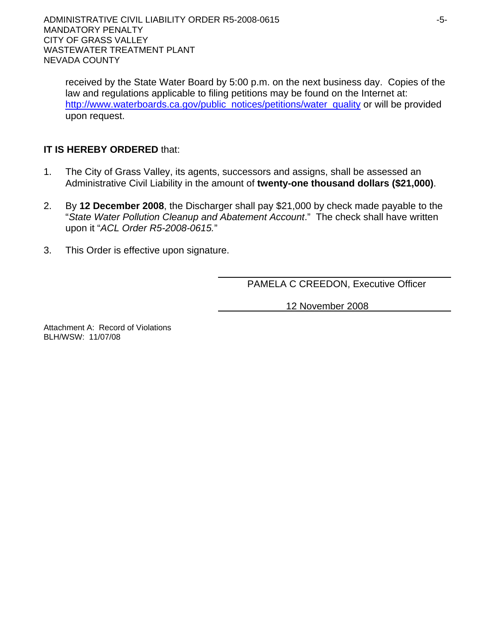received by the State Water Board by 5:00 p.m. on the next business day. Copies of the law and regulations applicable to filing petitions may be found on the Internet at: http://www.waterboards.ca.gov/public\_notices/petitions/water\_quality or will be provided upon request.

# **IT IS HEREBY ORDERED** that:

- 1. The City of Grass Valley, its agents, successors and assigns, shall be assessed an Administrative Civil Liability in the amount of **twenty-one thousand dollars (\$21,000)**.
- 2. By **12 December 2008**, the Discharger shall pay \$21,000 by check made payable to the "*State Water Pollution Cleanup and Abatement Account*." The check shall have written upon it "*ACL Order R5-2008-0615.*"
- 3. This Order is effective upon signature.

PAMELA C CREEDON, Executive Officer

12 November 2008

Attachment A: Record of Violations BLH/WSW: 11/07/08